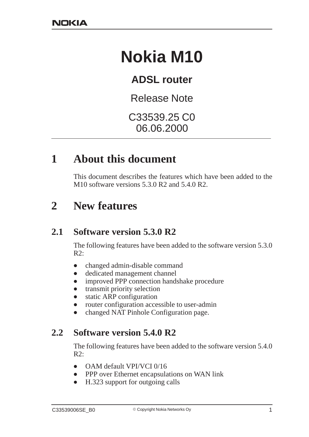# **Nokia M10**

# **ADSL router**

Release Note

C33539.25 C0 06.06.2000

# **1 About this document**

This document describes the features which have been added to the M10 software versions 5.3.0 R2 and 5.4.0 R2.

# **2 New features**

#### **2.1 Software version 5.3.0 R2**

The following features have been added to the software version 5.3.0  $R2$ :

- $\bullet$ changed admin-disable command
- $\bullet$ dedicated management channel
- $\bullet$ improved PPP connection handshake procedure
- $\bullet$ transmit priority selection
- $\bullet$ static ARP configuration
- $\bullet$ router configuration accessible to user-admin
- $\bullet$ changed NAT Pinhole Configuration page.

#### **2.2 Software version 5.4.0 R2**

The following features have been added to the software version 5.4.0  $R2$ :

- $\bullet$ OAM default VPI/VCI 0/16
- $\bullet$ PPP over Ethernet encapsulations on WAN link
- $\bullet$ H.323 support for outgoing calls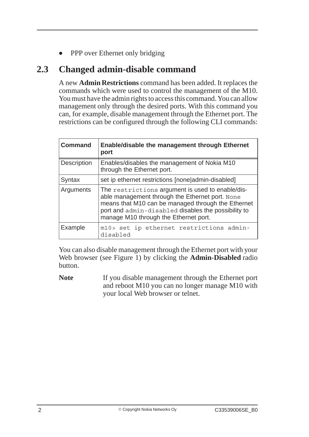$\bullet$ PPP over Ethernet only bridging

#### **2.3 Changed admin-disable command**

A new **Admin Restrictions** command has been added. It replaces the commands which were used to control the management of the M10. You must have the admin rights to access this command. You can allow management only through the desired ports. With this command you can, for example, disable management through the Ethernet port. The restrictions can be configured through the following CLI commands:

| <b>Command</b>     | <b>Enable/disable the management through Ethernet</b><br>port                                                                                                                                                                                             |
|--------------------|-----------------------------------------------------------------------------------------------------------------------------------------------------------------------------------------------------------------------------------------------------------|
| <b>Description</b> | Enables/disables the management of Nokia M10<br>through the Ethernet port.                                                                                                                                                                                |
| Syntax             | set ip ethernet restrictions [none admin-disabled]                                                                                                                                                                                                        |
| Arguments          | The restrictions argument is used to enable/dis-<br>able management through the Ethernet port. None<br>means that M10 can be managed through the Ethernet<br>port and admin-disabled disables the possibility to<br>manage M10 through the Ethernet port. |
| Example            | m10> set ip ethernet restrictions admin-<br>disabled                                                                                                                                                                                                      |

You can also disable management through the Ethernet port with your Web browser (see Figure 1) by clicking the **Admin-Disabled** radio button.

Note If you disable management through the Ethernet port and reboot M10 you can no longer manage M10 with your local Web browser or telnet.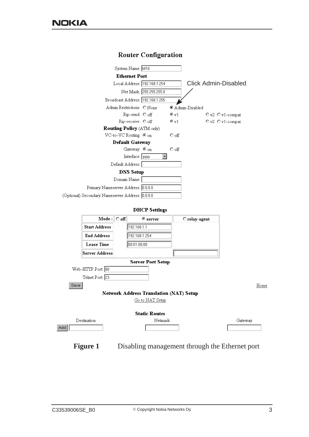

#### **Router Configuration**



**Figure 1** Disabling management through the Ethernet port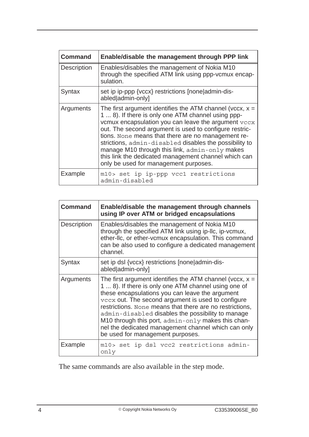| <b>Command</b>     | Enable/disable the management through PPP link                                                                                                                                                                                                                                                                                                                                                                                                                                                       |
|--------------------|------------------------------------------------------------------------------------------------------------------------------------------------------------------------------------------------------------------------------------------------------------------------------------------------------------------------------------------------------------------------------------------------------------------------------------------------------------------------------------------------------|
| <b>Description</b> | Enables/disables the management of Nokia M10<br>through the specified ATM link using ppp-vcmux encap-<br>sulation.                                                                                                                                                                                                                                                                                                                                                                                   |
| Syntax             | set ip ip-ppp {vccx} restrictions [none admin-dis-<br>abled admin-only]                                                                                                                                                                                                                                                                                                                                                                                                                              |
| Arguments          | The first argument identifies the ATM channel (vccx, $x =$<br>1  8). If there is only one ATM channel using ppp-<br>vcmux encapsulation you can leave the argument vccx<br>out. The second argument is used to configure restric-<br>tions. None means that there are no management re-<br>strictions, admin-disabled disables the possibility to<br>manage M10 through this link, admin-only makes<br>this link the dedicated management channel which can<br>only be used for management purposes. |
| Example            | m10> set ip ip-ppp vcc1 restrictions<br>admin-disabled                                                                                                                                                                                                                                                                                                                                                                                                                                               |

| <b>Command</b>     | Enable/disable the management through channels<br>using IP over ATM or bridged encapsulations                                                                                                                                                                                                                                                                                                                                                                                                 |
|--------------------|-----------------------------------------------------------------------------------------------------------------------------------------------------------------------------------------------------------------------------------------------------------------------------------------------------------------------------------------------------------------------------------------------------------------------------------------------------------------------------------------------|
| <b>Description</b> | Enables/disables the management of Nokia M10<br>through the specified ATM link using ip-Ilc, ip-vcmux,<br>ether-IIc, or ether-vcmux encapsulation. This command<br>can be also used to configure a dedicated management<br>channel.                                                                                                                                                                                                                                                           |
| Syntax             | set ip dsl {vccx} restrictions [none]admin-dis-<br>abled admin-only]                                                                                                                                                                                                                                                                                                                                                                                                                          |
| Arguments          | The first argument identifies the ATM channel (vccx, $x =$<br>1  8). If there is only one ATM channel using one of<br>these encapsulations you can leave the argument<br>vccx out. The second argument is used to configure<br>restrictions. None means that there are no restrictions,<br>admin-disabled disables the possibility to manage<br>M10 through this port, admin-only makes this chan-<br>nel the dedicated management channel which can only<br>be used for management purposes. |
| Example            | m10> set ip dsl vcc2 restrictions admin-<br>only                                                                                                                                                                                                                                                                                                                                                                                                                                              |

The same commands are also available in the step mode.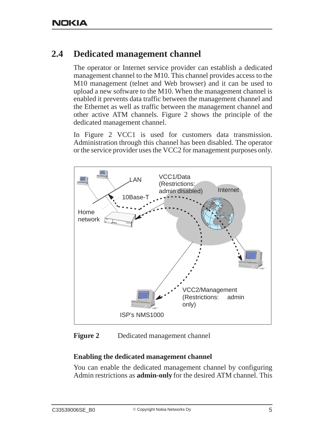## **2.4 Dedicated management channel**

The operator or Internet service provider can establish a dedicated management channel to the M10. This channel provides access to the M10 management (telnet and Web browser) and it can be used to upload a new software to the M10. When the management channel is enabled it prevents data traffic between the management channel and the Ethernet as well as traffic between the management channel and other active ATM channels. Figure 2 shows the principle of the dedicated management channel.

In Figure 2 VCC1 is used for customers data transmission. Administration through this channel has been disabled. The operator or the service provider uses the VCC2 for management purposes only.



**Figure 2** Dedicated management channel

#### **Enabling the dedicated management channel**

You can enable the dedicated management channel by configuring Admin restrictions as **admin-only** for the desired ATM channel. This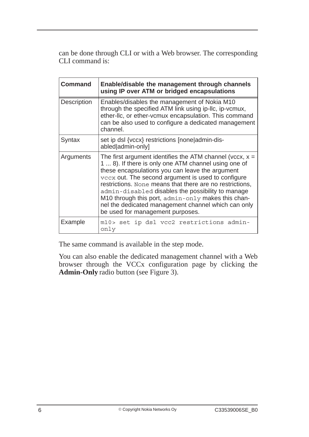can be done through CLI or with a Web browser. The corresponding CLI command is:

| Command            | Enable/disable the management through channels<br>using IP over ATM or bridged encapsulations                                                                                                                                                                                                                                                                                                                                                                                                 |
|--------------------|-----------------------------------------------------------------------------------------------------------------------------------------------------------------------------------------------------------------------------------------------------------------------------------------------------------------------------------------------------------------------------------------------------------------------------------------------------------------------------------------------|
| <b>Description</b> | Enables/disables the management of Nokia M10<br>through the specified ATM link using ip-Ilc, ip-vcmux,<br>ether-IIc, or ether-vcmux encapsulation. This command<br>can be also used to configure a dedicated management<br>channel.                                                                                                                                                                                                                                                           |
| Syntax             | set ip dsl {vccx} restrictions [none]admin-dis-<br>abled admin-only]                                                                                                                                                                                                                                                                                                                                                                                                                          |
| Arguments          | The first argument identifies the ATM channel (vccx, $x =$<br>1  8). If there is only one ATM channel using one of<br>these encapsulations you can leave the argument<br>vccx out. The second argument is used to configure<br>restrictions. None means that there are no restrictions,<br>admin-disabled disables the possibility to manage<br>M10 through this port, admin-only makes this chan-<br>nel the dedicated management channel which can only<br>be used for management purposes. |
| Example            | m10> set ip dsl vcc2 restrictions admin-<br>only                                                                                                                                                                                                                                                                                                                                                                                                                                              |

The same command is available in the step mode.

You can also enable the dedicated management channel with a Web browser through the VCCx configuration page by clicking the **Admin-Only** radio button (see Figure 3).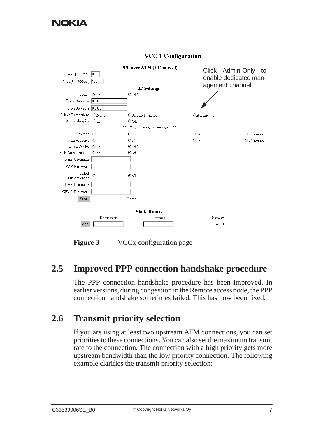

#### **VCC 1 Configuration**

**Figure 3** VCCx configuration page

#### **2.5 Improved PPP connection handshake procedure**

The PPP connection handshake procedure has been improved. In earlier versions, during congestion in the Remote access node, the PPP connection handshake sometimes failed. This has now been fixed.

#### **2.6 Transmit priority selection**

If you are using at least two upstream ATM connections, you can set priorities to these connections. You can also set the maximum transmit rate to the connection. The connection with a high priority gets more upstream bandwidth than the low priority connection. The following example clarifies the transmit priority selection: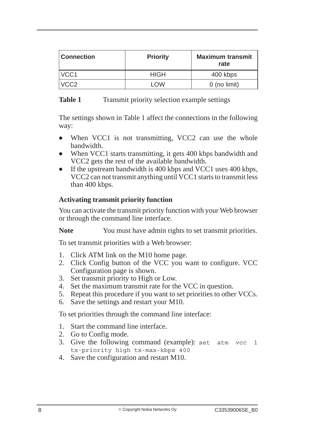| <b>Connection</b> | <b>Priority</b> | <b>Maximum transmit</b><br>rate |
|-------------------|-----------------|---------------------------------|
| VCC1              | <b>HIGH</b>     | 400 kbps                        |
| VCC <sub>2</sub>  | LOW             | $0$ (no limit)                  |

#### **Table 1** Transmit priority selection example settings

The settings shown in Table 1 affect the connections in the following way:

- $\bullet$ When VCC1 is not transmitting, VCC2 can use the whole bandwidth.
- $\bullet$ When VCC1 starts transmitting, it gets 400 kbps bandwidth and VCC2 gets the rest of the available bandwidth.
- $\bullet$  If the upstream bandwidth is 400 kbps and VCC1 uses 400 kbps, VCC2 can not transmit anything until VCC1 starts to transmit less than 400 kbps.

#### **Activating transmit priority function**

You can activate the transmit priority function with your Web browser or through the command line interface.

Note You must have admin rights to set transmit priorities.

To set transmit priorities with a Web browser:

- 1. Click ATM link on the M10 home page.
- 2. Click Config button of the VCC you want to configure. VCC Configuration page is shown.
- 3. Set transmit priority to High or Low.
- 4. Set the maximum transmit rate for the VCC in question.
- 5. Repeat this procedure if you want to set priorities to other VCCs.
- 6. Save the settings and restart your M10.

To set priorities through the command line interface:

- 1. Start the command line interface.
- 2. Go to Config mode.
- 3. Give the following command (example): set atm vcc 1 tx-priority high tx-max-kbps 400
- 4. Save the configuration and restart M10.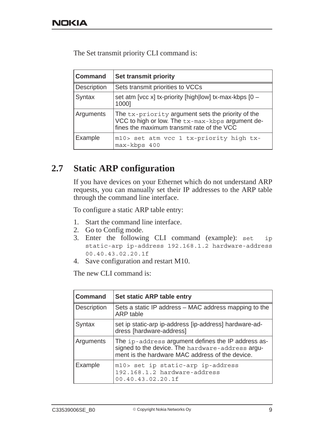The Set transmit priority CLI command is:

| <b>Command</b> | <b>Set transmit priority</b>                                                                                                                        |
|----------------|-----------------------------------------------------------------------------------------------------------------------------------------------------|
| Description    | Sets transmit priorities to VCCs                                                                                                                    |
| Syntax         | set atm [vcc x] tx-priority [high low] tx-max-kbps $[0 -$<br>1000]                                                                                  |
| Arguments      | The tx-priority argument sets the priority of the<br>VCC to high or low. The tx-max-kbps argument de-<br>fines the maximum transmit rate of the VCC |
| Example        | m10> set atm vcc 1 tx-priority high tx-<br>max-kbps 400                                                                                             |

#### **2.7 Static ARP configuration**

If you have devices on your Ethernet which do not understand ARP requests, you can manually set their IP addresses to the ARP table through the command line interface.

To configure a static ARP table entry:

- 1. Start the command line interface.
- 2. Go to Config mode.
- 3. Enter the following CLI command (example): set ip static-arp ip-address 192.168.1.2 hardware-address 00.40.43.02.20.1f
- 4. Save configuration and restart M10.

The new CLI command is:

| <b>Command</b>     | Set static ARP table entry                                                                                                                                |
|--------------------|-----------------------------------------------------------------------------------------------------------------------------------------------------------|
| <b>Description</b> | Sets a static IP address - MAC address mapping to the<br>ARP table                                                                                        |
| Syntax             | set ip static-arp ip-address [ip-address] hardware-ad-<br>dress [hardware-address]                                                                        |
| Arguments          | The ip-address argument defines the IP address as-<br>signed to the device. The hardware-address argu-<br>ment is the hardware MAC address of the device. |
| Example            | m10> set ip static-arp ip-address<br>192.168.1.2 hardware-address<br>00.40.43.02.20.1f                                                                    |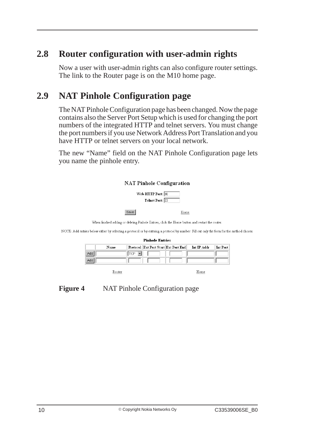## **2.8 Router configuration with user-admin rights**

Now a user with user-admin rights can also configure router settings. The link to the Router page is on the M10 home page.

## **2.9 NAT Pinhole Configuration page**

The NAT Pinhole Configuration page has been changed. Now the page contains also the Server Port Setup which is used for changing the port numbers of the integrated HTTP and telnet servers. You must change the port numbers if you use Network Address Port Translation and you have HTTP or telnet servers on your local network.

The new "Name" field on the NAT Pinhole Configuration page lets you name the pinhole entry.



When finished adding or deleting Pinhole Entries, click the Home button and restart the router.

NOTE: Add entries below either by selecting a protocol or by entering a protocol by number. Fill out only the form for the method chosen

| <b>Pinhole Entries</b> |      |  |                                      |                           |          |
|------------------------|------|--|--------------------------------------|---------------------------|----------|
|                        | Name |  | Protocol Ext Port Start Ext Port End | $Int \, \mathrm{IP}$ Addr | Int Port |
| Adc                    |      |  |                                      |                           |          |
| Ado                    |      |  |                                      |                           |          |
|                        |      |  |                                      |                           |          |

Router

Home

#### **Figure 4** NAT Pinhole Configuration page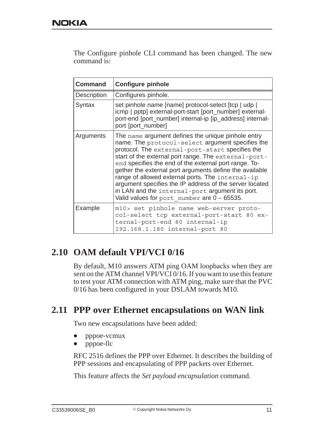The Configure pinhole CLI command has been changed. The new command is:

| <b>Command</b>     | <b>Configure pinhole</b>                                                                                                                                                                                                                                                                                                                                                                                                                                                                                                                                  |
|--------------------|-----------------------------------------------------------------------------------------------------------------------------------------------------------------------------------------------------------------------------------------------------------------------------------------------------------------------------------------------------------------------------------------------------------------------------------------------------------------------------------------------------------------------------------------------------------|
| <b>Description</b> | Configures pinhole.                                                                                                                                                                                                                                                                                                                                                                                                                                                                                                                                       |
| Syntax             | set pinhole name [name] protocol-select [tcp   udp  <br>icmp   pptp] external-port-start [port_number] external-<br>port-end [port_number] internal-ip [ip_address] internal-<br>port [port_number]                                                                                                                                                                                                                                                                                                                                                       |
| Arguments          | The name argument defines the unique pinhole entry<br>name. The protocol-select argument specifies the<br>protocol. The external-port-start specifies the<br>start of the external port range. The external-port-<br>end specifies the end of the external port range. To-<br>gether the external port arguments define the available<br>range of allowed external ports. The internal-ip<br>argument specifies the IP address of the server located<br>in LAN and the internal-port argument its port.<br>Valid values for port number are $0 - 65535$ . |
| Example            | m10> set pinhole name web-server proto-<br>col-select tcp external-port-start 80 ex-<br>ternal-port-end 80 internal-ip<br>192.168.1.180 internal-port 80                                                                                                                                                                                                                                                                                                                                                                                                  |

## **2.10 OAM default VPI/VCI 0/16**

By default, M10 answers ATM ping OAM loopbacks when they are sent on the ATM channel VPI/VCI 0/16. If you want to use this feature to test your ATM connection with ATM ping, make sure that the PVC 0/16 has been configured in your DSLAM towards M10.

#### **2.11 PPP over Ethernet encapsulations on WAN link**

Two new encapsulations have been added:

- $\bullet$ pppoe-vcmux
- $\bullet$ pppoe-llc

RFC 2516 defines the PPP over Ethernet. It describes the building of PPP sessions and encapsulating of PPP packets over Ethernet.

This feature affects the *Set payload encapsulation* command.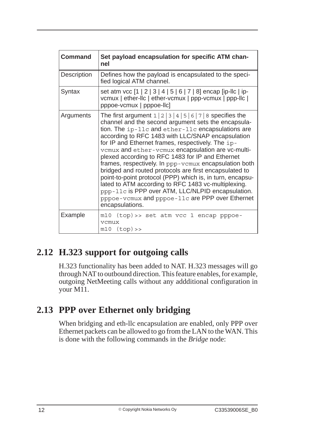| <b>Command</b>     | Set payload encapsulation for specific ATM chan-<br>nel                                                                                                                                                                                                                                                                                                                                                                                                                                                                                                                                                                                                                                                                                                                                |
|--------------------|----------------------------------------------------------------------------------------------------------------------------------------------------------------------------------------------------------------------------------------------------------------------------------------------------------------------------------------------------------------------------------------------------------------------------------------------------------------------------------------------------------------------------------------------------------------------------------------------------------------------------------------------------------------------------------------------------------------------------------------------------------------------------------------|
| <b>Description</b> | Defines how the payload is encapsulated to the speci-<br>fied logical ATM channel.                                                                                                                                                                                                                                                                                                                                                                                                                                                                                                                                                                                                                                                                                                     |
| Syntax             | set atm vcc [1   2   3   4   5   6   7   8] encap [ip-llc   ip-<br>vcmux   ether-llc   ether-vcmux   ppp-vcmux   ppp-llc  <br>pppoe-vcmux   pppoe-llc]                                                                                                                                                                                                                                                                                                                                                                                                                                                                                                                                                                                                                                 |
| Arguments          | The first argument $1 \mid 2 \mid 3 \mid 4 \mid 5 \mid 6 \mid 7 \mid 8$ specifies the<br>channel and the second argument sets the encapsula-<br>tion. The ip-llc and ether-llc encapsulations are<br>according to RFC 1483 with LLC/SNAP encapsulation<br>for IP and Ethernet frames, respectively. The ip-<br>vcmux and ether-vcmux encapsulation are vc-multi-<br>plexed according to RFC 1483 for IP and Ethernet<br>frames, respectively. In ppp-vcmux encapsulation both<br>bridged and routed protocols are first encapsulated to<br>point-to-point protocol (PPP) which is, in turn, encapsu-<br>lated to ATM according to RFC 1483 vc-multiplexing.<br>ppp-11c is PPP over ATM, LLC/NLPID encapsulation.<br>pppoe-vcmux and pppoe-11c are PPP over Ethernet<br>encapsulations. |
| Example            | m10 (top) >> set atm vcc 1 encap pppoe-<br>vcmux<br>$m10$ $(top)$ >>                                                                                                                                                                                                                                                                                                                                                                                                                                                                                                                                                                                                                                                                                                                   |

## **2.12 H.323 support for outgoing calls**

H.323 functionality has been added to NAT. H.323 messages will go through NAT to outbound direction. This feature enables, for example, outgoing NetMeeting calls without any addditional configuration in your M11.

## **2.13 PPP over Ethernet only bridging**

When bridging and eth-llc encapsulation are enabled, only PPP over Ethernet packets can be allowed to go from the LAN to the WAN. This is done with the following commands in the *Bridge* node: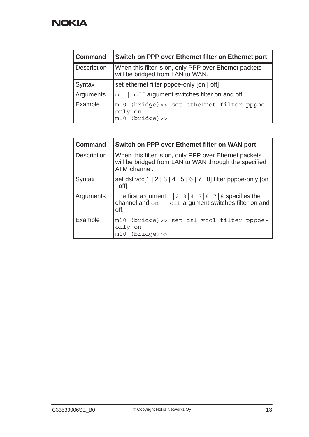| <b>Command</b>     | Switch on PPP over Ethernet filter on Ethernet port                                       |
|--------------------|-------------------------------------------------------------------------------------------|
| <b>Description</b> | When this filter is on, only PPP over Ehernet packets<br>will be bridged from LAN to WAN. |
| Syntax             | set ethernet filter pppoe-only [on   off]                                                 |
| Arguments          | off argument switches filter on and off.<br>on                                            |
| Example            | m10 (bridge) >> set ethernet filter pppoe-<br>only on<br>$m10$ (bridge) >>                |

| <b>Command</b>     | Switch on PPP over Ethernet filter on WAN port                                                                                                        |
|--------------------|-------------------------------------------------------------------------------------------------------------------------------------------------------|
| <b>Description</b> | When this filter is on, only PPP over Ehernet packets<br>will be bridged from LAN to WAN through the specified<br>ATM channel.                        |
| Syntax             | set dsl vcc[1   2   3   4   5   6   7   8] filter pppoe-only [on<br>  off]                                                                            |
| Arguments          | The first argument $1 \mid 2 \mid 3 \mid 4 \mid 5 \mid 6 \mid 7 \mid 8$ specifies the<br>channel and on   off argument switches filter on and<br>off. |
| Example            | m10 (bridge) >> set dsl vcc1 filter pppoe-<br>only on<br>$m10$ (bridge) >>                                                                            |